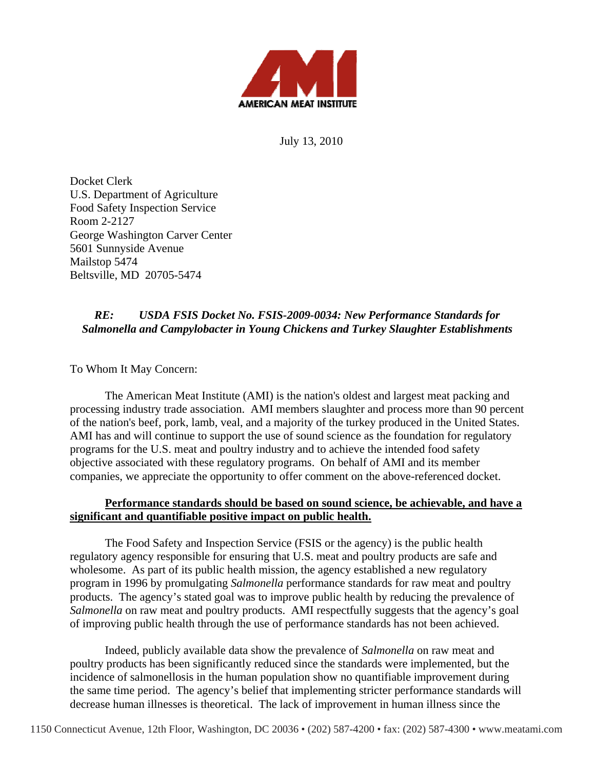

July 13, 2010

Docket Clerk U.S. Department of Agriculture Food Safety Inspection Service Room 2-2127 George Washington Carver Center 5601 Sunnyside Avenue Mailstop 5474 Beltsville, MD 20705-5474

## *RE: USDA FSIS Docket No. FSIS-2009-0034: New Performance Standards for Salmonella and Campylobacter in Young Chickens and Turkey Slaughter Establishments*

To Whom It May Concern:

The American Meat Institute (AMI) is the nation's oldest and largest meat packing and processing industry trade association. AMI members slaughter and process more than 90 percent of the nation's beef, pork, lamb, veal, and a majority of the turkey produced in the United States. AMI has and will continue to support the use of sound science as the foundation for regulatory programs for the U.S. meat and poultry industry and to achieve the intended food safety objective associated with these regulatory programs. On behalf of AMI and its member companies, we appreciate the opportunity to offer comment on the above-referenced docket.

## **Performance standards should be based on sound science, be achievable, and have a significant and quantifiable positive impact on public health.**

The Food Safety and Inspection Service (FSIS or the agency) is the public health regulatory agency responsible for ensuring that U.S. meat and poultry products are safe and wholesome. As part of its public health mission, the agency established a new regulatory program in 1996 by promulgating *Salmonella* performance standards for raw meat and poultry products. The agency's stated goal was to improve public health by reducing the prevalence of *Salmonella* on raw meat and poultry products. AMI respectfully suggests that the agency's goal of improving public health through the use of performance standards has not been achieved.

Indeed, publicly available data show the prevalence of *Salmonella* on raw meat and poultry products has been significantly reduced since the standards were implemented, but the incidence of salmonellosis in the human population show no quantifiable improvement during the same time period. The agency's belief that implementing stricter performance standards will decrease human illnesses is theoretical. The lack of improvement in human illness since the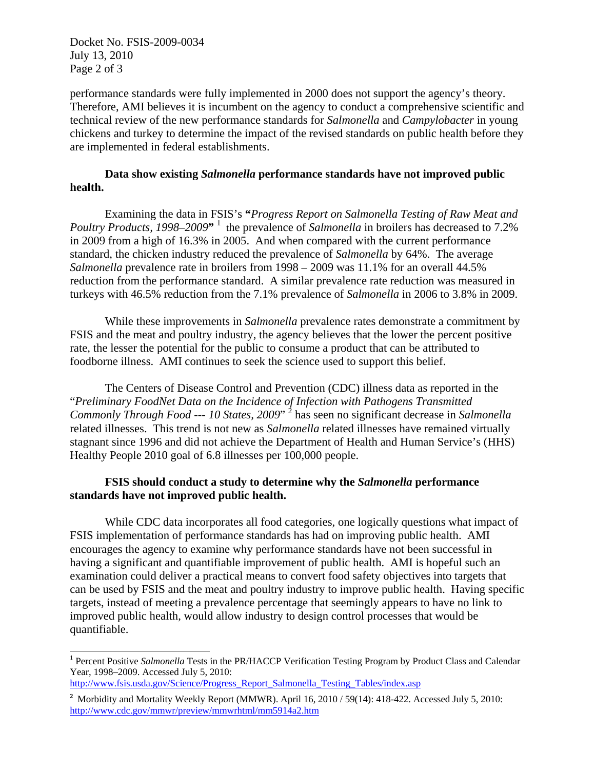Docket No. FSIS-2009-0034 July 13, 2010 Page 2 of 3

performance standards were fully implemented in 2000 does not support the agency's theory. Therefore, AMI believes it is incumbent on the agency to conduct a comprehensive scientific and technical review of the new performance standards for *Salmonella* and *Campylobacter* in young chickens and turkey to determine the impact of the revised standards on public health before they are implemented in federal establishments.

## **Data show existing** *Salmonella* **performance standards have not improved public health.**

Examining the data in FSIS's **"***Progress Report on Salmonella Testing of Raw Meat and Poultry Products, 1998–2009*<sup>, 1</sup> the prevalence of *Salmonella* in broilers has decreased to 7.2% in 2009 from a high of 16.3% in 2005. And when compared with the current performance standard, the chicken industry reduced the prevalence of *Salmonella* by 64%. The average *Salmonella* prevalence rate in broilers from 1998 – 2009 was 11.1% for an overall 44.5% reduction from the performance standard. A similar prevalence rate reduction was measured in turkeys with 46.5% reduction from the 7.1% prevalence of *Salmonella* in 2006 to 3.8% in 2009.

While these improvements in *Salmonella* prevalence rates demonstrate a commitment by FSIS and the meat and poultry industry, the agency believes that the lower the percent positive rate, the lesser the potential for the public to consume a product that can be attributed to foodborne illness. AMI continues to seek the science used to support this belief.

The Centers of Disease Control and Prevention (CDC) illness data as reported in the "*Preliminary FoodNet Data on the Incidence of Infection with Pathogens Transmitted*  Commonly Through Food --- 10 States, 2009<sup>; 2</sup> has seen no significant decrease in *Salmonella* related illnesses. This trend is not new as *Salmonella* related illnesses have remained virtually stagnant since 1996 and did not achieve the Department of Health and Human Service's (HHS) Healthy People 2010 goal of 6.8 illnesses per 100,000 people.

## **FSIS should conduct a study to determine why the** *Salmonella* **performance standards have not improved public health.**

While CDC data incorporates all food categories, one logically questions what impact of FSIS implementation of performance standards has had on improving public health. AMI encourages the agency to examine why performance standards have not been successful in having a significant and quantifiable improvement of public health. AMI is hopeful such an examination could deliver a practical means to convert food safety objectives into targets that can be used by FSIS and the meat and poultry industry to improve public health. Having specific targets, instead of meeting a prevalence percentage that seemingly appears to have no link to improved public health, would allow industry to design control processes that would be quantifiable.

 $\overline{a}$ <sup>1</sup> Percent Positive *Salmonella* Tests in the PR/HACCP Verification Testing Program by Product Class and Calendar Year, 1998–2009. Accessed July 5, 2010:

http://www.fsis.usda.gov/Science/Progress\_Report\_Salmonella\_Testing\_Tables/index.asp

**<sup>2</sup>** Morbidity and Mortality Weekly Report (MMWR). April 16, 2010 / 59(14): 418-422. Accessed July 5, 2010: http://www.cdc.gov/mmwr/preview/mmwrhtml/mm5914a2.htm